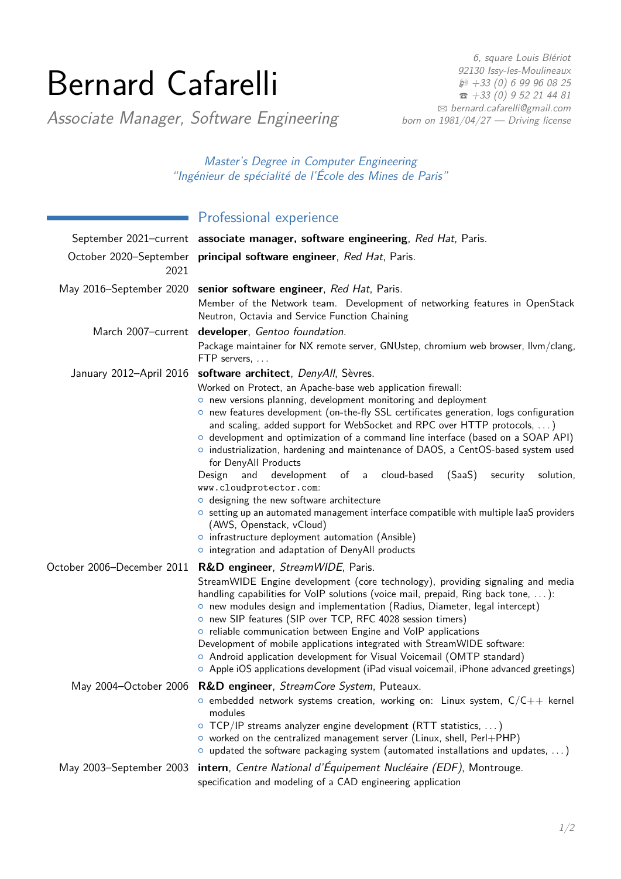# Bernard Cafarelli

6, square Louis Blériot 92130 Issy-les-Moulineaux  $\wp$  +33 (0) 6 99 96 08 25  $\hat{ }$  [+33 \(0\) 9 52 21 44 81](tel:+330952214481) B [bernard.cafarelli@gmail.com](mailto:bernard.cafarelli@gmail.com) born on 1981/04/27 - Driving license

Associate Manager, Software Engineering

Master's Degree in Computer Engineering "Ingénieur de spécialité de l'École des Mines de Paris"

## **Professional experience**

|                            | September 2021–current associate manager, software engineering, Red Hat, Paris.                                                                                                                                                                                                                                                                                                                                                                                                                                                                                                                                                                                                                                                                                                                                                                                                                                                           |  |
|----------------------------|-------------------------------------------------------------------------------------------------------------------------------------------------------------------------------------------------------------------------------------------------------------------------------------------------------------------------------------------------------------------------------------------------------------------------------------------------------------------------------------------------------------------------------------------------------------------------------------------------------------------------------------------------------------------------------------------------------------------------------------------------------------------------------------------------------------------------------------------------------------------------------------------------------------------------------------------|--|
| 2021                       | October 2020–September principal software engineer, Red Hat, Paris.                                                                                                                                                                                                                                                                                                                                                                                                                                                                                                                                                                                                                                                                                                                                                                                                                                                                       |  |
|                            | May 2016-September 2020 senior software engineer, Red Hat, Paris.<br>Member of the Network team. Development of networking features in OpenStack<br>Neutron, Octavia and Service Function Chaining                                                                                                                                                                                                                                                                                                                                                                                                                                                                                                                                                                                                                                                                                                                                        |  |
|                            | March 2007-current developer, Gentoo foundation.<br>Package maintainer for NX remote server, GNUstep, chromium web browser, llvm/clang,<br>FTP servers,                                                                                                                                                                                                                                                                                                                                                                                                                                                                                                                                                                                                                                                                                                                                                                                   |  |
| January 2012-April 2016    | software architect, DenyAll, Sèvres.<br>Worked on Protect, an Apache-base web application firewall:<br>o new versions planning, development monitoring and deployment<br>o new features development (on-the-fly SSL certificates generation, logs configuration<br>and scaling, added support for WebSocket and RPC over HTTP protocols, )<br>o development and optimization of a command line interface (based on a SOAP API)<br>o industrialization, hardening and maintenance of DAOS, a CentOS-based system used<br>for DenyAll Products<br>of a cloud-based<br>(SaaS)<br>Design<br>and<br>development<br>solution,<br>security<br>www.cloudprotector.com:<br>o designing the new software architecture<br>○ setting up an automated management interface compatible with multiple laaS providers<br>(AWS, Openstack, vCloud)<br>o infrastructure deployment automation (Ansible)<br>o integration and adaptation of DenyAll products |  |
| October 2006-December 2011 | R&D engineer, StreamWIDE, Paris.<br>StreamWIDE Engine development (core technology), providing signaling and media<br>handling capabilities for VoIP solutions (voice mail, prepaid, Ring back tone, ):<br>o new modules design and implementation (Radius, Diameter, legal intercept)<br>o new SIP features (SIP over TCP, RFC 4028 session timers)<br>o reliable communication between Engine and VoIP applications<br>Development of mobile applications integrated with StreamWIDE software:<br>O Android application development for Visual Voicemail (OMTP standard)<br>$\circ$ Apple iOS applications development (iPad visual voicemail, iPhone advanced greetings)<br>May 2004–October 2006 R&D engineer, StreamCore System, Puteaux.                                                                                                                                                                                            |  |
|                            | $\circ$ embedded network systems creation, working on: Linux system, $C/C++$ kernel<br>modules<br>○ TCP/IP streams analyzer engine development (RTT statistics, )<br>$\circ$ worked on the centralized management server (Linux, shell, Perl+PHP)<br>$\circ$ updated the software packaging system (automated installations and updates, )                                                                                                                                                                                                                                                                                                                                                                                                                                                                                                                                                                                                |  |
| May 2003-September 2003    | intern, Centre National d'Équipement Nucléaire (EDF), Montrouge.<br>specification and modeling of a CAD engineering application                                                                                                                                                                                                                                                                                                                                                                                                                                                                                                                                                                                                                                                                                                                                                                                                           |  |